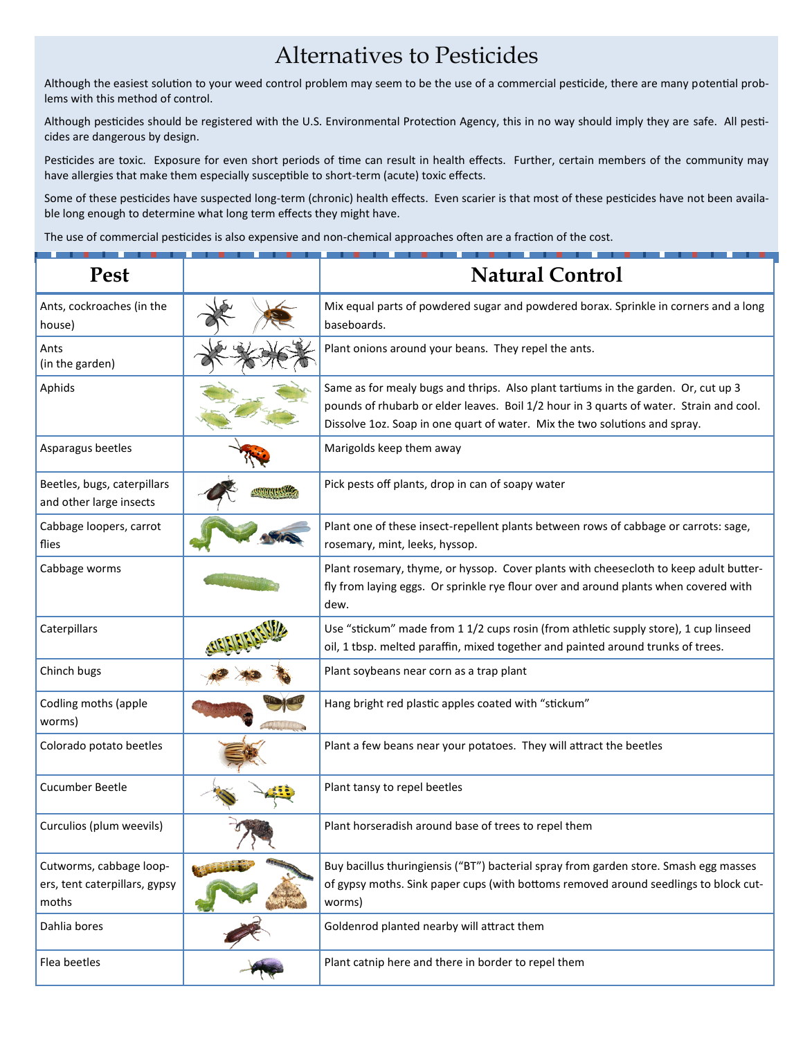## Alternatives to Pesticides

Although the easiest solution to your weed control problem may seem to be the use of a commercial pesticide, there are many potential problems with this method of control.

Although pesticides should be registered with the U.S. Environmental Protection Agency, this in no way should imply they are safe. All pesticides are dangerous by design.

Pesticides are toxic. Exposure for even short periods of time can result in health effects. Further, certain members of the community may have allergies that make them especially susceptible to short-term (acute) toxic effects.

Some of these pesticides have suspected long-term (chronic) health effects. Even scarier is that most of these pesticides have not been available long enough to determine what long term effects they might have.

The use of commercial pesticides is also expensive and non-chemical approaches often are a fraction of the cost.

| <b>Pest</b>                                                       | <b>Natural Control</b>                                                                                                                                                                                                                                      |
|-------------------------------------------------------------------|-------------------------------------------------------------------------------------------------------------------------------------------------------------------------------------------------------------------------------------------------------------|
| Ants, cockroaches (in the<br>house)                               | Mix equal parts of powdered sugar and powdered borax. Sprinkle in corners and a long<br>baseboards.                                                                                                                                                         |
| Ants<br>(in the garden)                                           | Plant onions around your beans. They repel the ants.                                                                                                                                                                                                        |
| Aphids                                                            | Same as for mealy bugs and thrips. Also plant tartiums in the garden. Or, cut up 3<br>pounds of rhubarb or elder leaves. Boil 1/2 hour in 3 quarts of water. Strain and cool.<br>Dissolve 1oz. Soap in one quart of water. Mix the two solutions and spray. |
| Asparagus beetles                                                 | Marigolds keep them away                                                                                                                                                                                                                                    |
| Beetles, bugs, caterpillars<br>and other large insects            | Pick pests off plants, drop in can of soapy water                                                                                                                                                                                                           |
| Cabbage loopers, carrot<br>flies                                  | Plant one of these insect-repellent plants between rows of cabbage or carrots: sage,<br>rosemary, mint, leeks, hyssop.                                                                                                                                      |
| Cabbage worms                                                     | Plant rosemary, thyme, or hyssop. Cover plants with cheesecloth to keep adult butter-<br>fly from laying eggs. Or sprinkle rye flour over and around plants when covered with<br>dew.                                                                       |
| Caterpillars                                                      | Use "stickum" made from 1 1/2 cups rosin (from athletic supply store), 1 cup linseed<br>oil, 1 tbsp. melted paraffin, mixed together and painted around trunks of trees.                                                                                    |
| Chinch bugs                                                       | Plant soybeans near corn as a trap plant                                                                                                                                                                                                                    |
| Codling moths (apple<br>worms)                                    | Hang bright red plastic apples coated with "stickum"                                                                                                                                                                                                        |
| Colorado potato beetles                                           | Plant a few beans near your potatoes. They will attract the beetles                                                                                                                                                                                         |
| <b>Cucumber Beetle</b>                                            | Plant tansy to repel beetles                                                                                                                                                                                                                                |
| Curculios (plum weevils)                                          | Plant horseradish around base of trees to repel them                                                                                                                                                                                                        |
| Cutworms, cabbage loop-<br>ers, tent caterpillars, gypsy<br>moths | Buy bacillus thuringiensis ("BT") bacterial spray from garden store. Smash egg masses<br>of gypsy moths. Sink paper cups (with bottoms removed around seedlings to block cut-<br>worms)                                                                     |
| Dahlia bores                                                      | Goldenrod planted nearby will attract them                                                                                                                                                                                                                  |
| Flea beetles                                                      | Plant catnip here and there in border to repel them                                                                                                                                                                                                         |